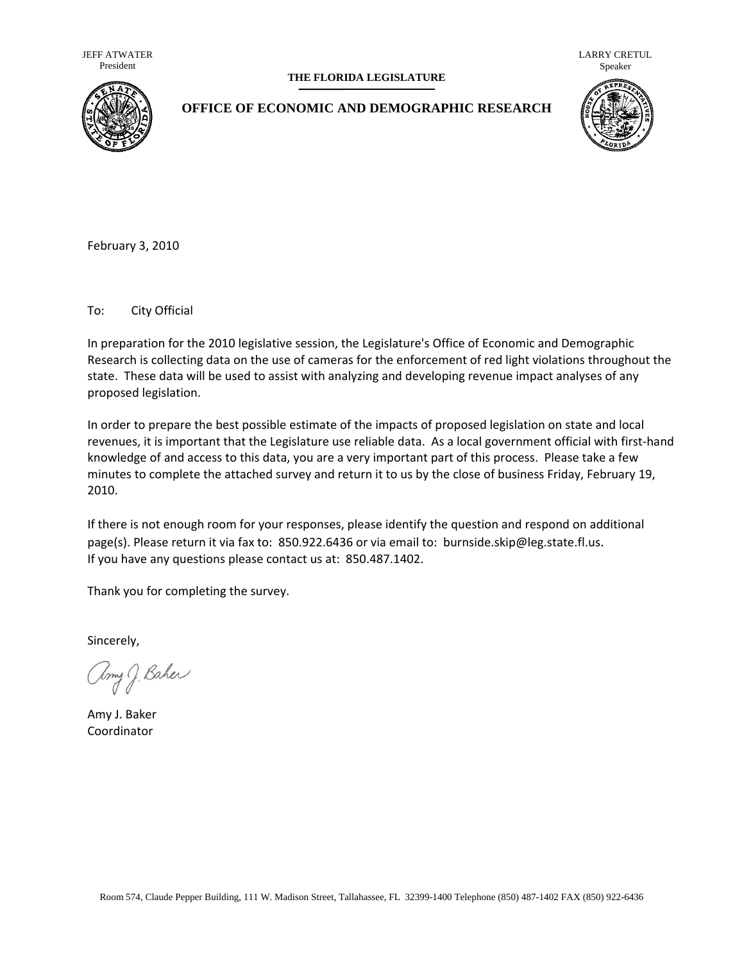JEFF ATWATER President

#### **THE FLORIDA LEGISLATURE**

LARRY CRETUL Speaker



## **OFFICE OF ECONOMIC AND DEMOGRAPHIC RESEARCH**



February 3, 2010

To: City Official

In preparation for the 2010 legislative session, the Legislature's Office of Economic and Demographic Research is collecting data on the use of cameras for the enforcement of red light violations throughout the state. These data will be used to assist with analyzing and developing revenue impact analyses of any proposed legislation.

In order to prepare the best possible estimate of the impacts of proposed legislation on state and local revenues, it is important that the Legislature use reliable data. As a local government official with first-hand knowledge of and access to this data, you are a very important part of this process. Please take a few minutes to complete the attached survey and return it to us by the close of business Friday, February 19, 2010.

If there is not enough room for your responses, please identify the [question](mailto:burnside.skip@leg.state.fl.us) and respond on additional page(s). Please return it via fax to: 850.922.6436 or via email to: burnside.skip@leg.state.fl.us. If you have any questions please contact us at: 850.487.1402.

Thank you for completing the survey.

Sincerely,

amy J. Baher

Amy J. Baker Coordinator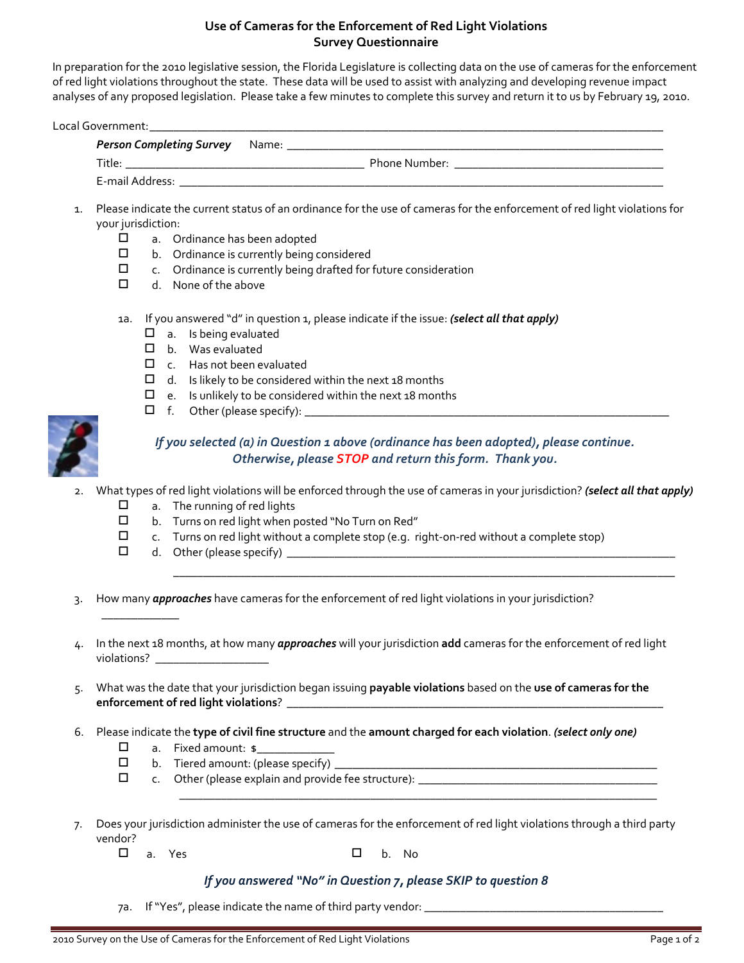## **Use of Cameras for the Enforcement of Red Light Violations Survey Questionnaire**

In preparation for the 2010 legislative session, the Florida Legislature is collecting data on the use of cameras for the enforcement of red light violations throughout the state. These data will be used to assist with analyzing and developing revenue impact analyses of any proposed legislation. Please take a few minutes to complete this survey and return it to us by February 19, 2010.

Local Government:

| Person Completing Survey Name: |               |
|--------------------------------|---------------|
| Title:                         | Phone Number: |
| E-mail Address:                |               |

- 1. Please indicate the current status of an ordinance for the use of cameras for the enforcement of red light violations for your jurisdiction:
	- $\square$  a. Ordinance has been adopted<br> $\square$  b. Ordinance is currently being o
		- b. Ordinance is currently being considered
	- $\square$  c. Ordinance is currently being drafted for future consideration
	- $\Box$  d. None of the above
	- 1a. If you answered "d" in question 1, please indicate if the issue: *(select all that apply)*
		- $\Box$  a. Is being evaluated
		- b. Was evaluated
		- □ c. Has not been evaluated
		- $\Box$  d. Is likely to be considered within the next 18 months
		- $\Box$  e. Is unlikely to be considered within the next 18 months
		- $\Box$  f. Other (please specify):



# *If you selected (a) in Question 1 above (ordinance has been adopted), please continue. Otherwise, please STOP and return this form. Thank you.*

\_\_\_\_\_\_\_\_\_\_\_\_\_\_\_\_\_\_\_\_\_\_\_\_\_\_\_\_\_\_\_\_\_\_\_\_\_\_\_\_\_\_\_\_\_\_\_\_\_\_\_\_\_\_\_\_\_\_\_\_\_\_\_\_\_\_\_\_\_\_\_\_\_\_\_\_\_\_\_\_\_\_\_\_

\_\_\_\_\_\_\_\_\_\_\_\_\_\_\_\_\_\_\_\_\_\_\_\_\_\_\_\_\_\_\_\_\_\_\_\_\_\_\_\_\_\_\_\_\_\_\_\_\_\_\_\_\_\_\_\_\_\_\_\_\_\_\_\_\_\_\_\_\_\_\_\_\_\_\_\_\_\_\_\_

- 2. What types of red light violations will be enforced through the use of cameras in your jurisdiction? *(select all that apply)*
	- $\Box$  a. The running of red lights
	- b. Turns on red light when posted "No Turn on Red"
	- $\square$  c. Turns on red light without a complete stop (e.g. right-on-red without a complete stop)
	- $\Box$  d. Other (please specify)  $\Box$

\_\_\_\_\_\_\_\_\_\_\_\_\_

- 3. How many *app roaches* have cameras for the enforcement of red light violations in your jurisdiction?
- 4. In the next 18 months, at how many **approaches** will your jurisdiction **add** cameras for the enforcement of red light violations? \_\_\_\_\_\_\_\_\_\_\_\_\_\_\_\_\_\_\_\_\_\_
- 5. What was the date that your jurisdiction began issuing **payable violations** based on the **use of cameras for the enforcement of red light violations**? \_\_\_\_\_\_\_\_\_\_\_\_\_\_\_\_\_\_\_\_\_\_\_\_\_\_\_\_\_\_\_\_\_\_\_\_\_\_\_\_\_\_\_\_\_\_\_\_\_\_\_\_\_\_\_\_\_\_\_\_\_\_\_
- 6. Please indicate the **type of civil fine structure** and the **amount charged for each violation**. *(select only one)*
	- $\square$  a. Fixed amount:  $\ast$
	- b. Tiered amount: (please specify) \_\_\_\_\_\_\_\_\_\_\_\_\_\_\_\_\_\_\_\_\_\_\_\_\_\_\_\_\_\_\_\_\_\_\_\_\_\_\_\_\_\_\_\_\_\_\_\_\_\_\_\_\_\_
	- $\square$  c. Other (please explain and provide fee structure):
- 7. Does your jurisdiction administer the use of cameras for the enforcement of red light violations through a third party vendor?
	- $\square$  a. Yes  $\square$  b. No

#### *If you answered "No" in Question 7, please SKIP to question 8*

7a. If "Yes", please indicate the name of third party vendor: \_\_\_\_\_\_